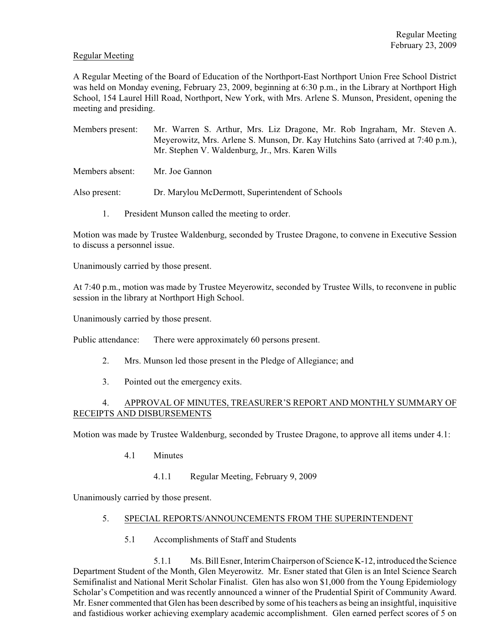#### Regular Meeting

A Regular Meeting of the Board of Education of the Northport-East Northport Union Free School District was held on Monday evening, February 23, 2009, beginning at 6:30 p.m., in the Library at Northport High School, 154 Laurel Hill Road, Northport, New York, with Mrs. Arlene S. Munson, President, opening the meeting and presiding.

- Members present: Mr. Warren S. Arthur, Mrs. Liz Dragone, Mr. Rob Ingraham, Mr. Steven A. Meyerowitz, Mrs. Arlene S. Munson, Dr. Kay Hutchins Sato (arrived at 7:40 p.m.), Mr. Stephen V. Waldenburg, Jr., Mrs. Karen Wills
- Members absent: Mr. Joe Gannon

Also present: Dr. Marylou McDermott, Superintendent of Schools

1. President Munson called the meeting to order.

Motion was made by Trustee Waldenburg, seconded by Trustee Dragone, to convene in Executive Session to discuss a personnel issue.

Unanimously carried by those present.

At 7:40 p.m., motion was made by Trustee Meyerowitz, seconded by Trustee Wills, to reconvene in public session in the library at Northport High School.

Unanimously carried by those present.

Public attendance: There were approximately 60 persons present.

- 2. Mrs. Munson led those present in the Pledge of Allegiance; and
- 3. Pointed out the emergency exits.

## 4. APPROVAL OF MINUTES, TREASURER'S REPORT AND MONTHLY SUMMARY OF RECEIPTS AND DISBURSEMENTS

Motion was made by Trustee Waldenburg, seconded by Trustee Dragone, to approve all items under 4.1:

- 4.1 Minutes
	- 4.1.1 Regular Meeting, February 9, 2009

Unanimously carried by those present.

#### 5. SPECIAL REPORTS/ANNOUNCEMENTS FROM THE SUPERINTENDENT

5.1 Accomplishments of Staff and Students

5.1.1 Ms. Bill Esner, Interim Chairperson of Science K-12, introduced the Science Department Student of the Month, Glen Meyerowitz. Mr. Esner stated that Glen is an Intel Science Search Semifinalist and National Merit Scholar Finalist. Glen has also won \$1,000 from the Young Epidemiology Scholar's Competition and was recently announced a winner of the Prudential Spirit of Community Award. Mr. Esner commented that Glen has been described by some of his teachers as being an insightful, inquisitive and fastidious worker achieving exemplary academic accomplishment. Glen earned perfect scores of 5 on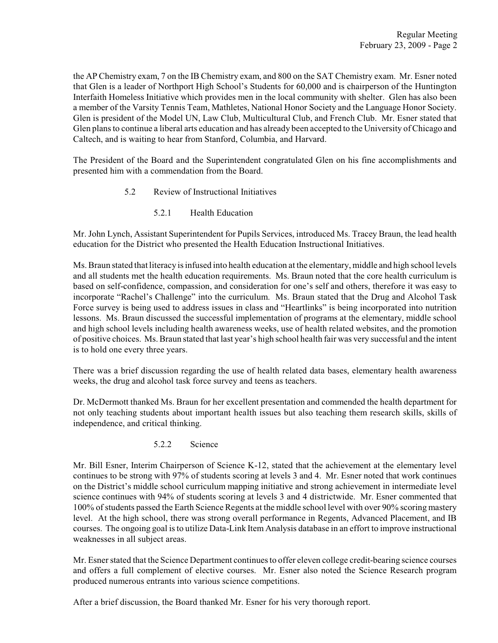the AP Chemistry exam, 7 on the IB Chemistry exam, and 800 on the SAT Chemistry exam. Mr. Esner noted that Glen is a leader of Northport High School's Students for 60,000 and is chairperson of the Huntington Interfaith Homeless Initiative which provides men in the local community with shelter. Glen has also been a member of the Varsity Tennis Team, Mathletes, National Honor Society and the Language Honor Society. Glen is president of the Model UN, Law Club, Multicultural Club, and French Club. Mr. Esner stated that Glen plans to continue a liberal arts education and has already been accepted to the University of Chicago and Caltech, and is waiting to hear from Stanford, Columbia, and Harvard.

The President of the Board and the Superintendent congratulated Glen on his fine accomplishments and presented him with a commendation from the Board.

- 5.2 Review of Instructional Initiatives
	- 5.2.1 Health Education

Mr. John Lynch, Assistant Superintendent for Pupils Services, introduced Ms. Tracey Braun, the lead health education for the District who presented the Health Education Instructional Initiatives.

Ms. Braun stated that literacy isinfused into health education at the elementary, middle and high school levels and all students met the health education requirements. Ms. Braun noted that the core health curriculum is based on self-confidence, compassion, and consideration for one's self and others, therefore it was easy to incorporate "Rachel's Challenge" into the curriculum. Ms. Braun stated that the Drug and Alcohol Task Force survey is being used to address issues in class and "Heartlinks" is being incorporated into nutrition lessons. Ms. Braun discussed the successful implementation of programs at the elementary, middle school and high school levels including health awareness weeks, use of health related websites, and the promotion of positive choices. Ms. Braun stated that last year's high school health fair was very successful and the intent is to hold one every three years.

There was a brief discussion regarding the use of health related data bases, elementary health awareness weeks, the drug and alcohol task force survey and teens as teachers.

Dr. McDermott thanked Ms. Braun for her excellent presentation and commended the health department for not only teaching students about important health issues but also teaching them research skills, skills of independence, and critical thinking.

5.2.2 Science

Mr. Bill Esner, Interim Chairperson of Science K-12, stated that the achievement at the elementary level continues to be strong with 97% of students scoring at levels 3 and 4. Mr. Esner noted that work continues on the District's middle school curriculum mapping initiative and strong achievement in intermediate level science continues with 94% of students scoring at levels 3 and 4 districtwide. Mr. Esner commented that 100% of students passed the Earth Science Regents at the middle school level with over 90% scoring mastery level. At the high school, there was strong overall performance in Regents, Advanced Placement, and IB courses. The ongoing goal is to utilize Data-Link Item Analysis database in an effort to improve instructional weaknesses in all subject areas.

Mr. Esner stated that the Science Department continues to offer eleven college credit-bearing science courses and offers a full complement of elective courses. Mr. Esner also noted the Science Research program produced numerous entrants into various science competitions.

After a brief discussion, the Board thanked Mr. Esner for his very thorough report.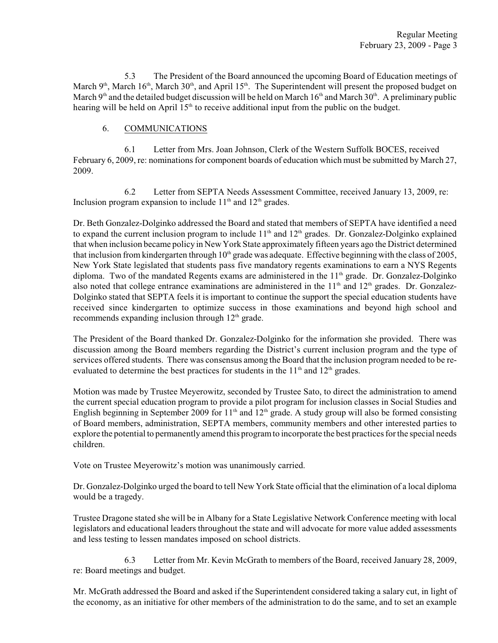5.3 The President of the Board announced the upcoming Board of Education meetings of March  $9<sup>th</sup>$ , March 16<sup>th</sup>, March 30<sup>th</sup>, and April 15<sup>th</sup>. The Superintendent will present the proposed budget on March 9<sup>th</sup> and the detailed budget discussion will be held on March 16<sup>th</sup> and March 30<sup>th</sup>. A preliminary public hearing will be held on April  $15<sup>th</sup>$  to receive additional input from the public on the budget.

# 6. COMMUNICATIONS

6.1 Letter from Mrs. Joan Johnson, Clerk of the Western Suffolk BOCES, received February 6, 2009, re: nominations for component boards of education which must be submitted by March 27, 2009.

6.2 Letter from SEPTA Needs Assessment Committee, received January 13, 2009, re: Inclusion program expansion to include  $11<sup>th</sup>$  and  $12<sup>th</sup>$  grades.

Dr. Beth Gonzalez-Dolginko addressed the Board and stated that members of SEPTA have identified a need to expand the current inclusion program to include  $11<sup>th</sup>$  and  $12<sup>th</sup>$  grades. Dr. Gonzalez-Dolginko explained that when inclusion became policy in New York State approximately fifteen years ago the District determined that inclusion from kindergarten through  $10<sup>th</sup>$  grade was adequate. Effective beginning with the class of 2005, New York State legislated that students pass five mandatory regents examinations to earn a NYS Regents diploma. Two of the mandated Regents exams are administered in the 11<sup>th</sup> grade. Dr. Gonzalez-Dolginko also noted that college entrance examinations are administered in the  $11<sup>th</sup>$  and  $12<sup>th</sup>$  grades. Dr. Gonzalez-Dolginko stated that SEPTA feels it is important to continue the support the special education students have received since kindergarten to optimize success in those examinations and beyond high school and recommends expanding inclusion through  $12<sup>th</sup>$  grade.

The President of the Board thanked Dr. Gonzalez-Dolginko for the information she provided. There was discussion among the Board members regarding the District's current inclusion program and the type of services offered students. There was consensus among the Board that the inclusion program needed to be reevaluated to determine the best practices for students in the  $11<sup>th</sup>$  and  $12<sup>th</sup>$  grades.

Motion was made by Trustee Meyerowitz, seconded by Trustee Sato, to direct the administration to amend the current special education program to provide a pilot program for inclusion classes in Social Studies and English beginning in September 2009 for  $11<sup>th</sup>$  and  $12<sup>th</sup>$  grade. A study group will also be formed consisting of Board members, administration, SEPTA members, community members and other interested parties to explore the potential to permanently amend this programto incorporate the best practices for the special needs children.

Vote on Trustee Meyerowitz's motion was unanimously carried.

Dr. Gonzalez-Dolginko urged the board to tell New York State official that the elimination of a local diploma would be a tragedy.

Trustee Dragone stated she will be in Albany for a State Legislative Network Conference meeting with local legislators and educational leaders throughout the state and will advocate for more value added assessments and less testing to lessen mandates imposed on school districts.

6.3 Letter from Mr. Kevin McGrath to members of the Board, received January 28, 2009, re: Board meetings and budget.

Mr. McGrath addressed the Board and asked if the Superintendent considered taking a salary cut, in light of the economy, as an initiative for other members of the administration to do the same, and to set an example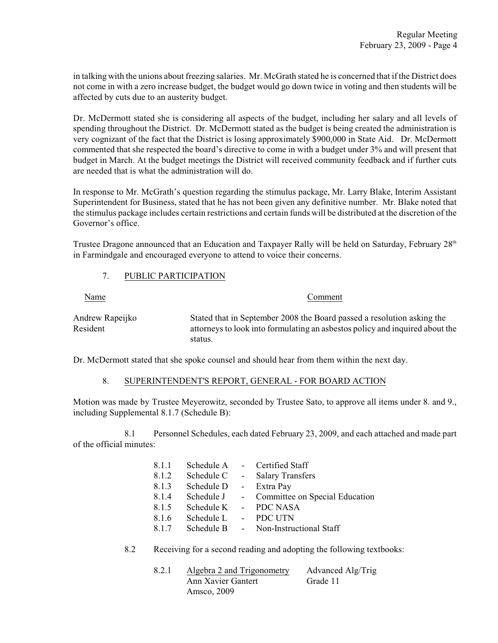in talking with the unions about freezing salaries. Mr. McGrath stated he is concerned that if the District does not come in with a zero increase budget, the budget would go down twice in voting and then students will be affected by cuts due to an austerity budget.

Dr. McDermott stated she is considering all aspects of the budget, including her salary and all levels of spending throughout the District. Dr. McDermott stated as the budget is being created the administration is very cognizant of the fact that the District is losing approximately \$900,000 in State Aid. Dr. McDermott commented that she respected the board's directive to come in with a budget under 3% and will present that budget in March. At the budget meetings the District will received community feedback and if further cuts are needed that is what the administration will do.

In response to Mr. McGrath's question regarding the stimulus package, Mr. Larry Blake, Interim Assistant Superintendent for Business, stated that he has not been given any definitive number. Mr. Blake noted that the stimulus package includes certain restrictions and certain funds will be distributed at the discretion of the Governor's office.

Trustee Dragone announced that an Education and Taxpayer Rally will be held on Saturday, February 28<sup>th</sup> in Farmindgale and encouraged everyone to attend to voice their concerns.

## 7. PUBLIC PARTICIPATION

| <u>Name</u>                 | Comment                                                                                                                                                           |
|-----------------------------|-------------------------------------------------------------------------------------------------------------------------------------------------------------------|
| Andrew Rapeijko<br>Resident | Stated that in September 2008 the Board passed a resolution asking the<br>attorneys to look into formulating an asbestos policy and inquired about the<br>status. |

Dr. McDermott stated that she spoke counsel and should hear from them within the next day.

## 8. SUPERINTENDENT'S REPORT, GENERAL - FOR BOARD ACTION

Motion was made by Trustee Meyerowitz, seconded by Trustee Sato, to approve all items under 8. and 9., including Supplemental 8.1.7 (Schedule B):

8.1 Personnel Schedules, each dated February 23, 2009, and each attached and made part of the official minutes:

| 8.1.1 | Schedule A |            | - Certified Staff                |
|-------|------------|------------|----------------------------------|
| 8.1.2 | Schedule C | $\sim$ $-$ | <b>Salary Transfers</b>          |
| 8.1.3 | Schedule D | $\sim$ $-$ | Extra Pay                        |
| 8.1.4 | Schedule J |            | - Committee on Special Education |
| 8.1.5 | Schedule K | $\sim$ $-$ | <b>PDC NASA</b>                  |
| 8.1.6 | Schedule L | $\sim 100$ | PDC UTN                          |
| 8.1.7 | Schedule B |            | - Non-Instructional Staff        |

8.2 Receiving for a second reading and adopting the following textbooks:

| 8.2.1 | Algebra 2 and Trigonometry | Advanced Alg/Trig |
|-------|----------------------------|-------------------|
|       | Ann Xavier Gantert         | Grade 11          |
|       | Amsco, 2009                |                   |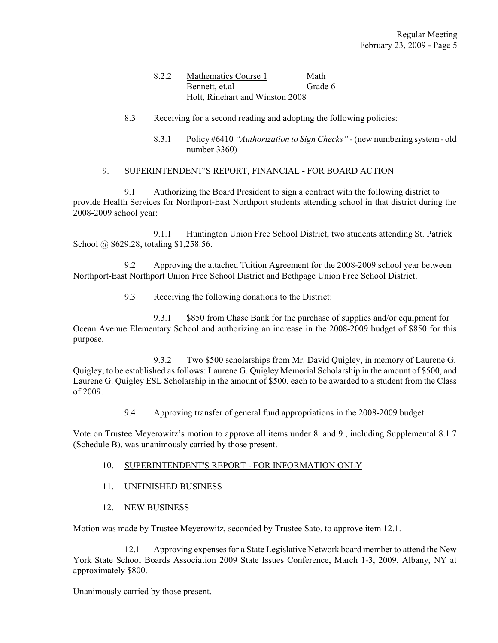## 8.2.2 Mathematics Course 1 Math Bennett, et.al Grade 6 Holt, Rinehart and Winston 2008

- 8.3 Receiving for a second reading and adopting the following policies:
	- 8.3.1 Policy #6410 *"Authorization to Sign Checks"* (new numbering system old number 3360)

## 9. SUPERINTENDENT'S REPORT, FINANCIAL - FOR BOARD ACTION

9.1 Authorizing the Board President to sign a contract with the following district to provide Health Services for Northport-East Northport students attending school in that district during the 2008-2009 school year:

9.1.1 Huntington Union Free School District, two students attending St. Patrick School @ \$629.28, totaling \$1,258.56.

9.2 Approving the attached Tuition Agreement for the 2008-2009 school year between Northport-East Northport Union Free School District and Bethpage Union Free School District.

9.3 Receiving the following donations to the District:

9.3.1 \$850 from Chase Bank for the purchase of supplies and/or equipment for Ocean Avenue Elementary School and authorizing an increase in the 2008-2009 budget of \$850 for this purpose.

9.3.2 Two \$500 scholarships from Mr. David Quigley, in memory of Laurene G. Quigley, to be established as follows: Laurene G. Quigley Memorial Scholarship in the amount of \$500, and Laurene G. Quigley ESL Scholarship in the amount of \$500, each to be awarded to a student from the Class of 2009.

9.4 Approving transfer of general fund appropriations in the 2008-2009 budget.

Vote on Trustee Meyerowitz's motion to approve all items under 8. and 9., including Supplemental 8.1.7 (Schedule B), was unanimously carried by those present.

## 10. SUPERINTENDENT'S REPORT - FOR INFORMATION ONLY

- 11. UNFINISHED BUSINESS
- 12. NEW BUSINESS

Motion was made by Trustee Meyerowitz, seconded by Trustee Sato, to approve item 12.1.

12.1 Approving expenses for a State Legislative Network board member to attend the New York State School Boards Association 2009 State Issues Conference, March 1-3, 2009, Albany, NY at approximately \$800.

Unanimously carried by those present.